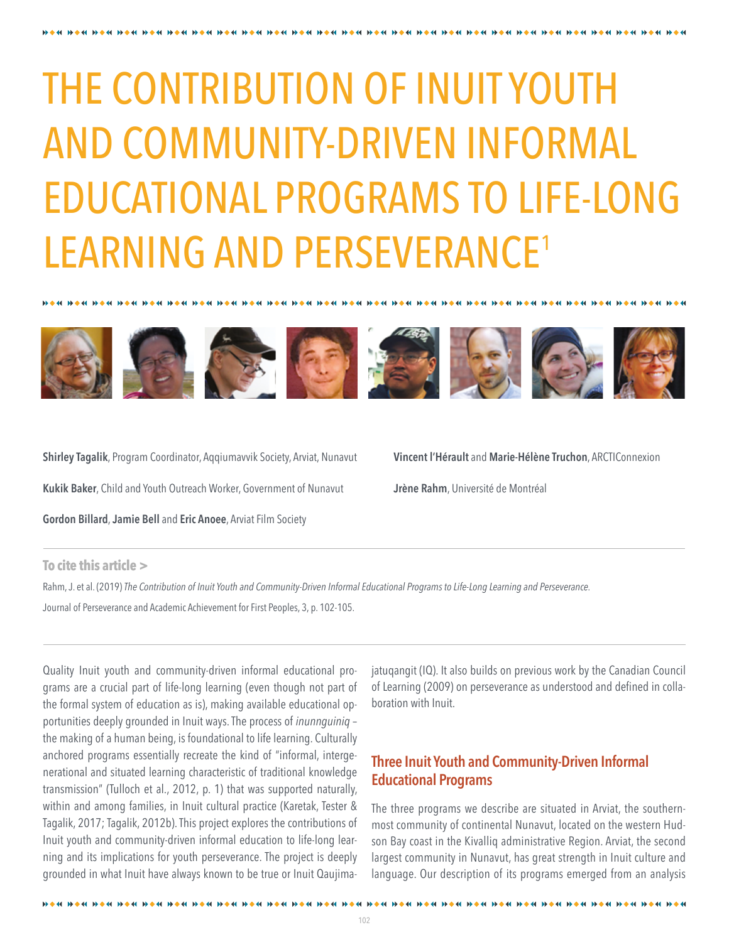# THE CONTRIBUTION OF INUIT YOUTH AND COMMUNITY-DRIVEN INFORMAL EDUCATIONAL PROGRAMS TO LIFE-LONG LEARNING AND PERSEVERANCE<sup>1</sup>



**Shirley Tagalik**, Program Coordinator, Aqqiumavvik Society, Arviat, Nunavut **Kukik Baker**, Child and Youth Outreach Worker, Government of Nunavut

**Gordon Billard**, **Jamie Bell** and **Eric Anoee**, Arviat Film Society

died als died der bis died eine bis die der bis die der der bis die der bis die der

**Vincent l'Hérault** and **Marie-Hélène Truchon**, ARCTIConnexion

**Jrène Rahm**, Université de Montréal

### **To cite this article >**

Rahm, J. et al. (2019) *The Contribution of Inuit Youth and Community-Driven Informal Educational Programs to Life-Long Learning and Perseverance.* Journal of Perseverance and Academic Achievement for First Peoples, 3, p. 102-105.

Quality Inuit youth and community-driven informal educational programs are a crucial part of life-long learning (even though not part of the formal system of education as is), making available educational opportunities deeply grounded in Inuit ways. The process of *inunnguiniq* – the making of a human being, is foundational to life learning. Culturally anchored programs essentially recreate the kind of "informal, intergenerational and situated learning characteristic of traditional knowledge transmission" (Tulloch et al., 2012, p. 1) that was supported naturally, within and among families, in Inuit cultural practice (Karetak, Tester & Tagalik, 2017; Tagalik, 2012b). This project explores the contributions of Inuit youth and community-driven informal education to life-long learning and its implications for youth perseverance. The project is deeply grounded in what Inuit have always known to be true or Inuit Qaujima-

**Blocked blocked blocked blocked block** 

jatuqangit (IQ). It also builds on previous work by the Canadian Council of Learning (2009) on perseverance as understood and defined in collaboration with Inuit.

## **Three Inuit Youth and Community-Driven Informal Educational Programs**

The three programs we describe are situated in Arviat, the southernmost community of continental Nunavut, located on the western Hudson Bay coast in the Kivalliq administrative Region. Arviat, the second largest community in Nunavut, has great strength in Inuit culture and language. Our description of its programs emerged from an analysis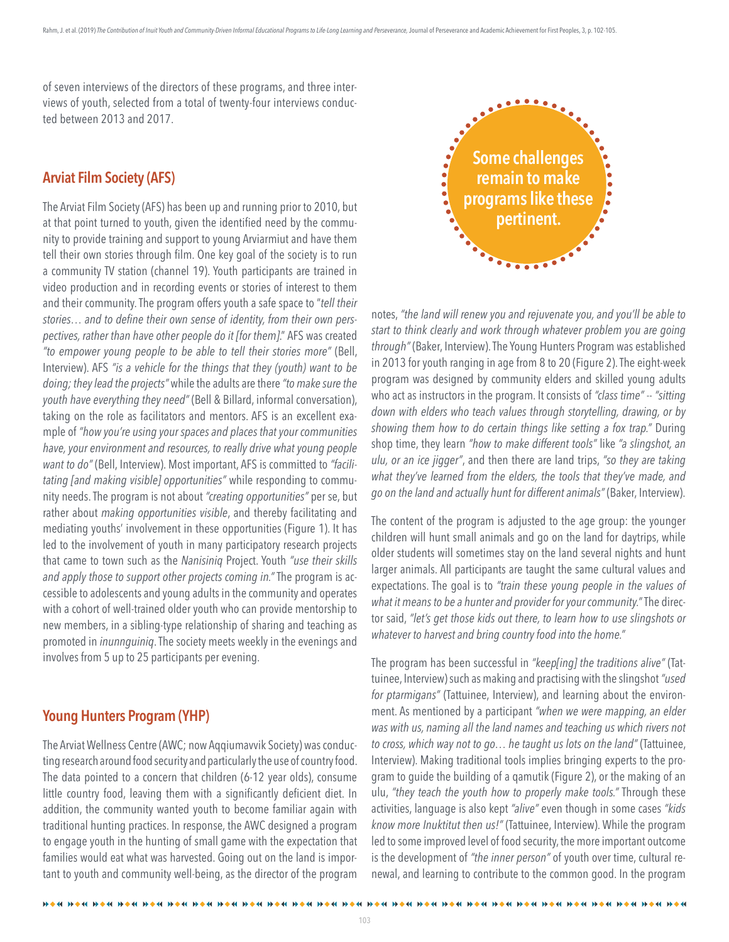of seven interviews of the directors of these programs, and three interviews of youth, selected from a total of twenty-four interviews conducted between 2013 and 2017.

## **Arviat Film Society (AFS)**

The Arviat Film Society (AFS) has been up and running prior to 2010, but at that point turned to youth, given the identified need by the community to provide training and support to young Arviarmiut and have them tell their own stories through film. One key goal of the society is to run a community TV station (channel 19). Youth participants are trained in video production and in recording events or stories of interest to them and their community. The program offers youth a safe space to "*tell their stories… and to define their own sense of identity, from their own perspectives, rather than have other people do it [for them]*." AFS was created *"to empower young people to be able to tell their stories more"* (Bell, Interview). AFS *"is a vehicle for the things that they (youth) want to be doing; they lead the projects"* while the adults are there *"to make sure the youth have everything they need"* (Bell & Billard, informal conversation), taking on the role as facilitators and mentors. AFS is an excellent example of *"how you're using your spaces and places that your communities have, your environment and resources, to really drive what young people want to do"* (Bell, Interview). Most important, AFS is committed to *"facilitating [and making visible] opportunities"* while responding to community needs. The program is not about *"creating opportunities"* per se, but rather about *making opportunities visible*, and thereby facilitating and mediating youths' involvement in these opportunities (Figure 1). It has led to the involvement of youth in many participatory research projects that came to town such as the *Nanisiniq* Project. Youth *"use their skills and apply those to support other projects coming in."* The program is accessible to adolescents and young adults in the community and operates with a cohort of well-trained older youth who can provide mentorship to new members, in a sibling-type relationship of sharing and teaching as promoted in *inunnguiniq*. The society meets weekly in the evenings and involves from 5 up to 25 participants per evening.

### **Young Hunters Program (YHP)**

The Arviat Wellness Centre (AWC; now Aqqiumavvik Society) was conducting research around food security and particularly the use of country food. The data pointed to a concern that children (6-12 year olds), consume little country food, leaving them with a significantly deficient diet. In addition, the community wanted youth to become familiar again with traditional hunting practices. In response, the AWC designed a program to engage youth in the hunting of small game with the expectation that families would eat what was harvested. Going out on the land is important to youth and community well-being, as the director of the program



notes, *"the land will renew you and rejuvenate you, and you'll be able to start to think clearly and work through whatever problem you are going through"* (Baker, Interview). The Young Hunters Program was established in 2013 for youth ranging in age from 8 to 20 (Figure 2). The eight-week program was designed by community elders and skilled young adults who act as instructors in the program. It consists of "class time" -- "sitting *down with elders who teach values through storytelling, drawing, or by showing them how to do certain things like setting a fox trap."* During shop time, they learn *"how to make different tools"* like *"a slingshot, an ulu, or an ice jigger"*, and then there are land trips, *"so they are taking what they've learned from the elders, the tools that they've made, and go on the land and actually hunt for different animals"* (Baker, Interview).

The content of the program is adjusted to the age group: the younger children will hunt small animals and go on the land for daytrips, while older students will sometimes stay on the land several nights and hunt larger animals. All participants are taught the same cultural values and expectations. The goal is to *"train these young people in the values of what it means to be a hunter and provider for your community."* The director said, *"let's get those kids out there, to learn how to use slingshots or whatever to harvest and bring country food into the home."*

The program has been successful in *"keep[ing] the traditions alive"* (Tattuinee, Interview) such as making and practising with the slingshot *"used for ptarmigans"* (Tattuinee, Interview), and learning about the environment. As mentioned by a participant *"when we were mapping, an elder was with us, naming all the land names and teaching us which rivers not to cross, which way not to go… he taught us lots on the land"* (Tattuinee, Interview). Making traditional tools implies bringing experts to the program to guide the building of a qamutik (Figure 2), or the making of an ulu, *"they teach the youth how to properly make tools."* Through these activities, language is also kept *"alive"* even though in some cases *"kids know more Inuktitut then us!"* (Tattuinee, Interview). While the program led to some improved level of food security, the more important outcome is the development of *"the inner person"* of youth over time, cultural renewal, and learning to contribute to the common good. In the program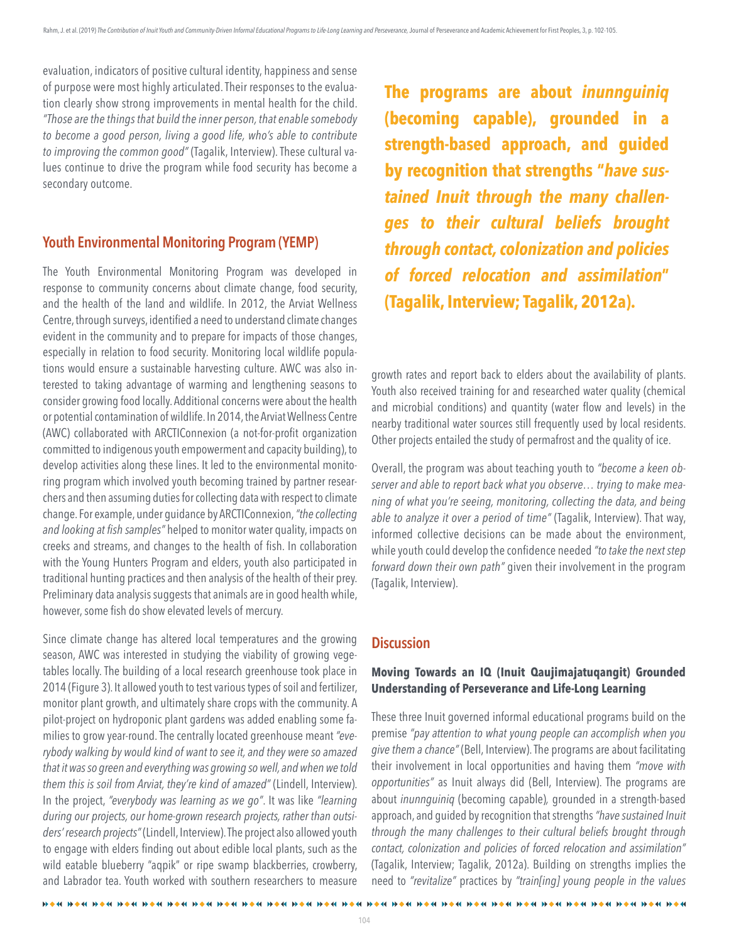evaluation, indicators of positive cultural identity, happiness and sense of purpose were most highly articulated. Their responses to the evaluation clearly show strong improvements in mental health for the child. *"Those are the things that build the inner person, that enable somebody to become a good person, living a good life, who's able to contribute to improving the common good"* (Tagalik, Interview). These cultural values continue to drive the program while food security has become a secondary outcome.

## **Youth Environmental Monitoring Program (YEMP)**

The Youth Environmental Monitoring Program was developed in response to community concerns about climate change, food security, and the health of the land and wildlife. In 2012, the Arviat Wellness Centre, through surveys, identified a need to understand climate changes evident in the community and to prepare for impacts of those changes, especially in relation to food security. Monitoring local wildlife populations would ensure a sustainable harvesting culture. AWC was also interested to taking advantage of warming and lengthening seasons to consider growing food locally. Additional concerns were about the health or potential contamination of wildlife. In 2014, the Arviat Wellness Centre (AWC) collaborated with ARCTIConnexion (a not-for-profit organization committed to indigenous youth empowerment and capacity building), to develop activities along these lines. It led to the environmental monitoring program which involved youth becoming trained by partner researchers and then assuming duties for collecting data with respect to climate change. For example, under guidance by ARCTIConnexion, *"the collecting and looking at fish samples"* helped to monitor water quality, impacts on creeks and streams, and changes to the health of fish. In collaboration with the Young Hunters Program and elders, youth also participated in traditional hunting practices and then analysis of the health of their prey. Preliminary data analysis suggests that animals are in good health while, however, some fish do show elevated levels of mercury.

Since climate change has altered local temperatures and the growing season, AWC was interested in studying the viability of growing vegetables locally. The building of a local research greenhouse took place in 2014 (Figure 3). It allowed youth to test various types of soil and fertilizer, monitor plant growth, and ultimately share crops with the community. A pilot-project on hydroponic plant gardens was added enabling some families to grow year-round. The centrally located greenhouse meant *"everybody walking by would kind of want to see it, and they were so amazed that it was so green and everything was growing so well, and when we told them this is soil from Arviat, they're kind of amazed"* (Lindell, Interview). In the project, *"everybody was learning as we go"*. It was like *"learning during our projects, our home-grown research projects, rather than outsiders' research projects"* (Lindell, Interview). The project also allowed youth to engage with elders finding out about edible local plants, such as the wild eatable blueberry "aqpik" or ripe swamp blackberries, crowberry, and Labrador tea. Youth worked with southern researchers to measure

**IN A 44 IN A 44 IN A 44 IN A 44 IN A 44 IN A 44 IN A 44 IN A 44 IN A** 

**The programs are about** *inunnguiniq*  **(becoming capable), grounded in a strength-based approach, and guided by recognition that strengths "***have sustained Inuit through the many challenges to their cultural beliefs brought through contact, colonization and policies of forced relocation and assimilation***" (Tagalik, Interview; Tagalik, 2012a).**

growth rates and report back to elders about the availability of plants. Youth also received training for and researched water quality (chemical and microbial conditions) and quantity (water flow and levels) in the nearby traditional water sources still frequently used by local residents. Other projects entailed the study of permafrost and the quality of ice.

Overall, the program was about teaching youth to *"become a keen observer and able to report back what you observe… trying to make meaning of what you're seeing, monitoring, collecting the data, and being able to analyze it over a period of time"* (Tagalik, Interview). That way, informed collective decisions can be made about the environment, while youth could develop the confidence needed *"to take the next step forward down their own path"* given their involvement in the program (Tagalik, Interview).

## **Discussion**

### **Moving Towards an IQ (Inuit Qaujimajatuqangit) Grounded Understanding of Perseverance and Life-Long Learning**

These three Inuit governed informal educational programs build on the premise *"pay attention to what young people can accomplish when you give them a chance"* (Bell, Interview). The programs are about facilitating their involvement in local opportunities and having them *"move with opportunities"* as Inuit always did (Bell, Interview). The programs are about *inunnguiniq* (becoming capable)*,* grounded in a strength-based approach, and guided by recognition that strengths *"have sustained Inuit through the many challenges to their cultural beliefs brought through contact, colonization and policies of forced relocation and assimilation"*  (Tagalik, Interview; Tagalik, 2012a). Building on strengths implies the need to *"revitalize"* practices by *"train[ing] young people in the values*